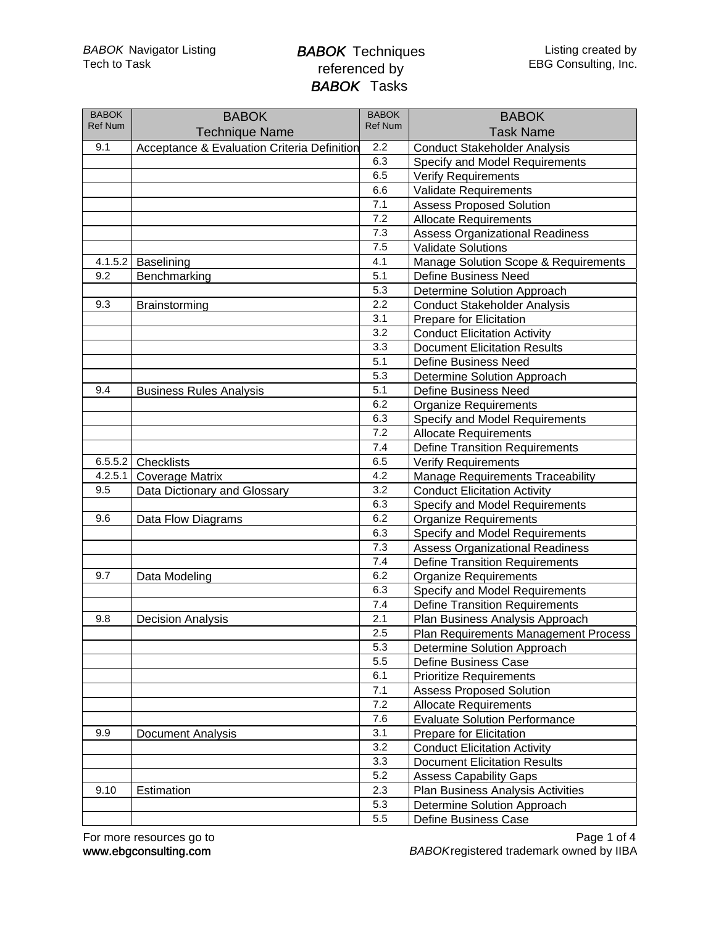| <b>BABOK</b><br><b>Ref Num</b> | <b>BABOK</b><br><b>Technique Name</b>       | <b>BABOK</b><br><b>Ref Num</b> | <b>BABOK</b><br><b>Task Name</b>        |
|--------------------------------|---------------------------------------------|--------------------------------|-----------------------------------------|
| 9.1                            | Acceptance & Evaluation Criteria Definition | 2.2                            | <b>Conduct Stakeholder Analysis</b>     |
|                                |                                             | 6.3                            | Specify and Model Requirements          |
|                                |                                             | 6.5                            | <b>Verify Requirements</b>              |
|                                |                                             | 6.6                            | <b>Validate Requirements</b>            |
|                                |                                             | 7.1                            | <b>Assess Proposed Solution</b>         |
|                                |                                             | 7.2                            | <b>Allocate Requirements</b>            |
|                                |                                             | 7.3                            | <b>Assess Organizational Readiness</b>  |
|                                |                                             | 7.5                            | <b>Validate Solutions</b>               |
| 4.1.5.2                        | Baselining                                  | 4.1                            | Manage Solution Scope & Requirements    |
| 9.2                            | Benchmarking                                | 5.1                            | <b>Define Business Need</b>             |
|                                |                                             | 5.3                            | Determine Solution Approach             |
| 9.3                            | Brainstorming                               | 2.2                            | <b>Conduct Stakeholder Analysis</b>     |
|                                |                                             | 3.1                            | Prepare for Elicitation                 |
|                                |                                             | 3.2                            | <b>Conduct Elicitation Activity</b>     |
|                                |                                             | 3.3                            | <b>Document Elicitation Results</b>     |
|                                |                                             | 5.1                            | Define Business Need                    |
|                                |                                             | 5.3                            | Determine Solution Approach             |
| 9.4                            | <b>Business Rules Analysis</b>              | 5.1                            | <b>Define Business Need</b>             |
|                                |                                             | 6.2                            | <b>Organize Requirements</b>            |
|                                |                                             | 6.3                            | Specify and Model Requirements          |
|                                |                                             | 7.2                            | <b>Allocate Requirements</b>            |
|                                |                                             | 7.4                            |                                         |
|                                | 6.5.5.2 Checklists                          | 6.5                            | <b>Define Transition Requirements</b>   |
|                                |                                             | 4.2                            | <b>Verify Requirements</b>              |
| 4.2.5.1<br>9.5                 | <b>Coverage Matrix</b>                      | 3.2                            | <b>Manage Requirements Traceability</b> |
|                                | Data Dictionary and Glossary                | 6.3                            | <b>Conduct Elicitation Activity</b>     |
| 9.6                            |                                             | 6.2                            | Specify and Model Requirements          |
|                                | Data Flow Diagrams                          | 6.3                            | <b>Organize Requirements</b>            |
|                                |                                             |                                | Specify and Model Requirements          |
|                                |                                             | 7.3                            | <b>Assess Organizational Readiness</b>  |
|                                |                                             | 7.4                            | <b>Define Transition Requirements</b>   |
| 9.7                            | Data Modeling                               | 6.2                            | <b>Organize Requirements</b>            |
|                                |                                             | 6.3                            | Specify and Model Requirements          |
|                                |                                             | 7.4                            | <b>Define Transition Requirements</b>   |
| 9.8                            | <b>Decision Analysis</b>                    | 2.1                            | Plan Business Analysis Approach         |
|                                |                                             | 2.5                            | Plan Requirements Management Process    |
|                                |                                             | 5.3                            | Determine Solution Approach             |
|                                |                                             | 5.5                            | Define Business Case                    |
|                                |                                             | 6.1                            | <b>Prioritize Requirements</b>          |
|                                |                                             | 7.1                            | <b>Assess Proposed Solution</b>         |
|                                |                                             | 7.2                            | <b>Allocate Requirements</b>            |
|                                |                                             | 7.6                            | <b>Evaluate Solution Performance</b>    |
| 9.9                            | Document Analysis                           | 3.1                            | Prepare for Elicitation                 |
|                                |                                             | 3.2                            | <b>Conduct Elicitation Activity</b>     |
|                                |                                             | 3.3                            | <b>Document Elicitation Results</b>     |
|                                |                                             | 5.2                            | <b>Assess Capability Gaps</b>           |
| 9.10                           | Estimation                                  | 2.3                            | Plan Business Analysis Activities       |
|                                |                                             | 5.3                            | Determine Solution Approach             |
|                                |                                             | 5.5                            | Define Business Case                    |

www.ebgconsulting.com For more resources go to BABOKregistered trademark owned by IIBA Page 1 of 4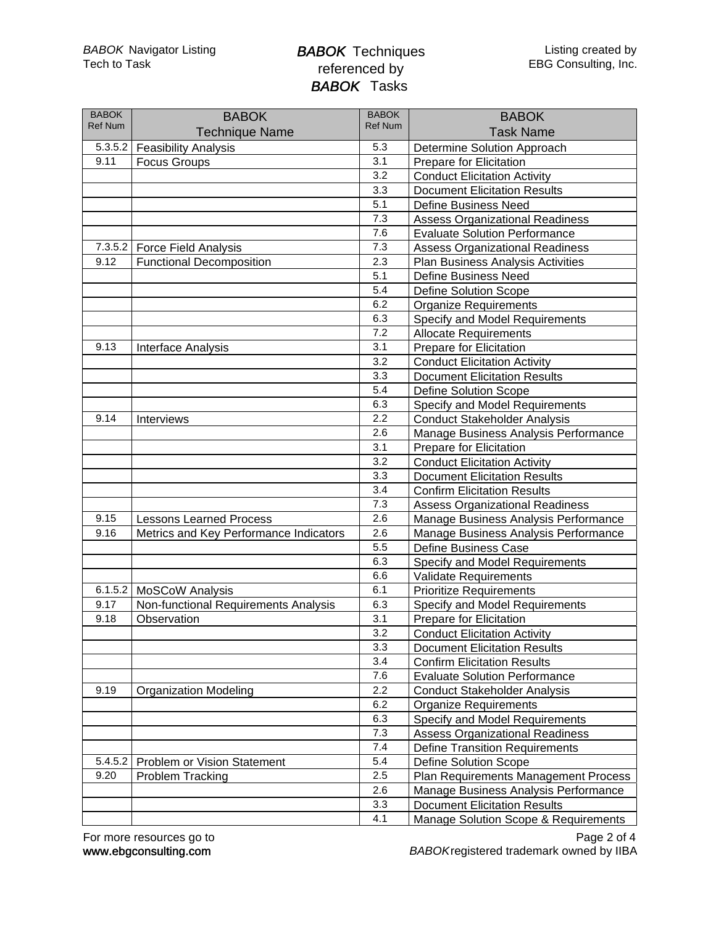| <b>BABOK</b><br><b>Ref Num</b> | <b>BABOK</b>                           | <b>BABOK</b><br><b>Ref Num</b> | <b>BABOK</b>                             |
|--------------------------------|----------------------------------------|--------------------------------|------------------------------------------|
|                                | <b>Technique Name</b>                  |                                | <b>Task Name</b>                         |
| 5.3.5.2                        | <b>Feasibility Analysis</b>            | 5.3                            | Determine Solution Approach              |
| 9.11                           | <b>Focus Groups</b>                    | 3.1                            | Prepare for Elicitation                  |
|                                |                                        | 3.2                            | <b>Conduct Elicitation Activity</b>      |
|                                |                                        | 3.3                            | <b>Document Elicitation Results</b>      |
|                                |                                        | 5.1                            | <b>Define Business Need</b>              |
|                                |                                        | 7.3                            | <b>Assess Organizational Readiness</b>   |
|                                |                                        | 7.6                            | <b>Evaluate Solution Performance</b>     |
| 7.3.5.2                        | <b>Force Field Analysis</b>            | 7.3                            | <b>Assess Organizational Readiness</b>   |
| 9.12                           | <b>Functional Decomposition</b>        | 2.3                            | <b>Plan Business Analysis Activities</b> |
|                                |                                        | 5.1                            | <b>Define Business Need</b>              |
|                                |                                        | 5.4                            | <b>Define Solution Scope</b>             |
|                                |                                        | 6.2                            | <b>Organize Requirements</b>             |
|                                |                                        | 6.3                            | Specify and Model Requirements           |
|                                |                                        | 7.2                            | <b>Allocate Requirements</b>             |
| 9.13                           | Interface Analysis                     | 3.1                            | Prepare for Elicitation                  |
|                                |                                        | 3.2                            | <b>Conduct Elicitation Activity</b>      |
|                                |                                        | 3.3                            | <b>Document Elicitation Results</b>      |
|                                |                                        | 5.4                            | <b>Define Solution Scope</b>             |
|                                |                                        | 6.3                            | Specify and Model Requirements           |
| 9.14                           | Interviews                             | 2.2                            | <b>Conduct Stakeholder Analysis</b>      |
|                                |                                        | 2.6                            | Manage Business Analysis Performance     |
|                                |                                        | 3.1                            | Prepare for Elicitation                  |
|                                |                                        | 3.2                            | <b>Conduct Elicitation Activity</b>      |
|                                |                                        | 3.3                            | <b>Document Elicitation Results</b>      |
|                                |                                        | 3.4                            | <b>Confirm Elicitation Results</b>       |
|                                |                                        | 7.3                            | <b>Assess Organizational Readiness</b>   |
| 9.15                           | <b>Lessons Learned Process</b>         | 2.6                            | Manage Business Analysis Performance     |
| 9.16                           | Metrics and Key Performance Indicators | 2.6                            | Manage Business Analysis Performance     |
|                                |                                        | 5.5                            | <b>Define Business Case</b>              |
|                                |                                        | 6.3                            | Specify and Model Requirements           |
|                                |                                        | 6.6                            | Validate Requirements                    |
| 6.1.5.2                        | <b>MoSCoW Analysis</b>                 | 6.1                            | <b>Prioritize Requirements</b>           |
| 9.17                           | Non-functional Requirements Analysis   | 6.3                            | Specify and Model Requirements           |
| 9.18                           | Observation                            | 3.1                            | Prepare for Elicitation                  |
|                                |                                        | 3.2                            | <b>Conduct Elicitation Activity</b>      |
|                                |                                        | 3.3                            | <b>Document Elicitation Results</b>      |
|                                |                                        | 3.4                            | <b>Confirm Elicitation Results</b>       |
|                                |                                        | 7.6                            | <b>Evaluate Solution Performance</b>     |
| 9.19                           | <b>Organization Modeling</b>           | 2.2                            | <b>Conduct Stakeholder Analysis</b>      |
|                                |                                        | 6.2                            | <b>Organize Requirements</b>             |
|                                |                                        | 6.3                            | <b>Specify and Model Requirements</b>    |
|                                |                                        | 7.3                            | <b>Assess Organizational Readiness</b>   |
|                                |                                        | 7.4                            | <b>Define Transition Requirements</b>    |
| 5.4.5.2                        | Problem or Vision Statement            | 5.4                            | <b>Define Solution Scope</b>             |
| 9.20                           | <b>Problem Tracking</b>                | 2.5                            | Plan Requirements Management Process     |
|                                |                                        | 2.6                            | Manage Business Analysis Performance     |
|                                |                                        | 3.3                            | <b>Document Elicitation Results</b>      |
|                                |                                        | 4.1                            | Manage Solution Scope & Requirements     |

www.ebgconsulting.com For more resources go to BABOKregistered trademark owned by IIBA Page 2 of 4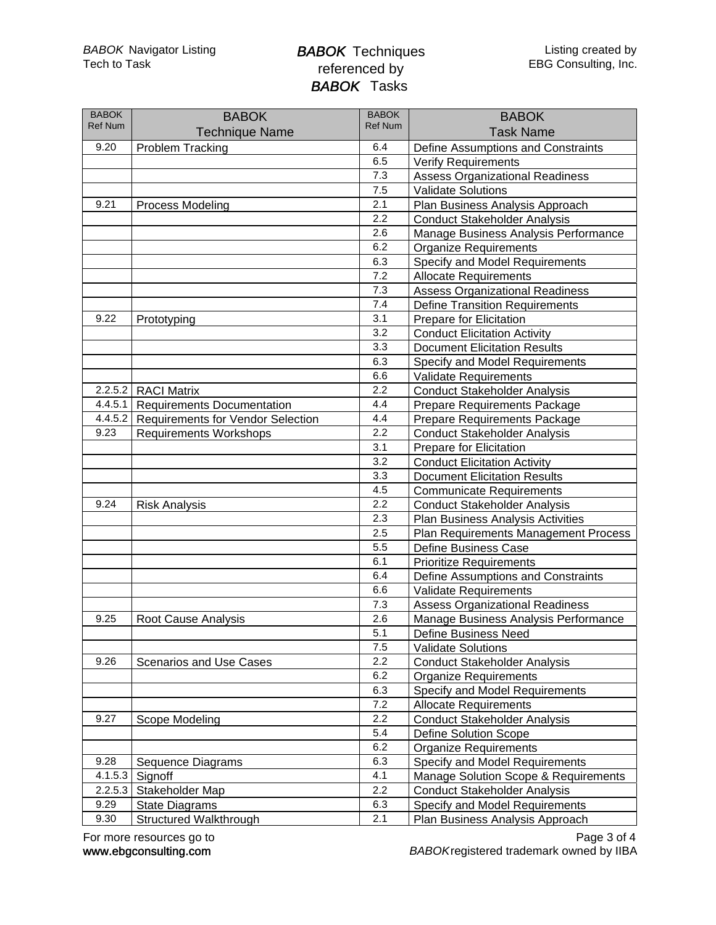| <b>BABOK</b>   | <b>BABOK</b>                             | <b>BABOK</b>   | <b>BABOK</b>                           |
|----------------|------------------------------------------|----------------|----------------------------------------|
| <b>Ref Num</b> | <b>Technique Name</b>                    | <b>Ref Num</b> | <b>Task Name</b>                       |
| 9.20           | <b>Problem Tracking</b>                  | 6.4            | Define Assumptions and Constraints     |
|                |                                          | 6.5            | <b>Verify Requirements</b>             |
|                |                                          | 7.3            | <b>Assess Organizational Readiness</b> |
|                |                                          | 7.5            | <b>Validate Solutions</b>              |
| 9.21           | <b>Process Modeling</b>                  | 2.1            | Plan Business Analysis Approach        |
|                |                                          | 2.2            | <b>Conduct Stakeholder Analysis</b>    |
|                |                                          | 2.6            | Manage Business Analysis Performance   |
|                |                                          | 6.2            | <b>Organize Requirements</b>           |
|                |                                          | 6.3            | Specify and Model Requirements         |
|                |                                          | 7.2            | <b>Allocate Requirements</b>           |
|                |                                          | 7.3            | <b>Assess Organizational Readiness</b> |
|                |                                          | 7.4            | <b>Define Transition Requirements</b>  |
| 9.22           | Prototyping                              | 3.1            | Prepare for Elicitation                |
|                |                                          | 3.2            | <b>Conduct Elicitation Activity</b>    |
|                |                                          | 3.3            | <b>Document Elicitation Results</b>    |
|                |                                          | 6.3            | Specify and Model Requirements         |
|                |                                          | 6.6            | <b>Validate Requirements</b>           |
| 2.2.5.2        | <b>RACI Matrix</b>                       | 2.2            | <b>Conduct Stakeholder Analysis</b>    |
| 4.4.5.1        | <b>Requirements Documentation</b>        | 4.4            | Prepare Requirements Package           |
| 4.4.5.2        | <b>Requirements for Vendor Selection</b> | 4.4            | Prepare Requirements Package           |
| 9.23           | <b>Requirements Workshops</b>            | 2.2            | <b>Conduct Stakeholder Analysis</b>    |
|                |                                          | 3.1            | Prepare for Elicitation                |
|                |                                          | 3.2            | <b>Conduct Elicitation Activity</b>    |
|                |                                          | 3.3            | <b>Document Elicitation Results</b>    |
|                |                                          | 4.5            | <b>Communicate Requirements</b>        |
| 9.24           | <b>Risk Analysis</b>                     | 2.2            | <b>Conduct Stakeholder Analysis</b>    |
|                |                                          | 2.3            | Plan Business Analysis Activities      |
|                |                                          | 2.5            | Plan Requirements Management Process   |
|                |                                          | 5.5            | Define Business Case                   |
|                |                                          | 6.1            | <b>Prioritize Requirements</b>         |
|                |                                          | 6.4            | Define Assumptions and Constraints     |
|                |                                          | 6.6            | <b>Validate Requirements</b>           |
|                |                                          | 7.3            | <b>Assess Organizational Readiness</b> |
| 9.25           | <b>Root Cause Analysis</b>               | 2.6            | Manage Business Analysis Performance   |
|                |                                          | 5.1            | Define Business Need                   |
|                |                                          | 7.5            | <b>Validate Solutions</b>              |
| 9.26           | Scenarios and Use Cases                  | 2.2            | <b>Conduct Stakeholder Analysis</b>    |
|                |                                          | 6.2            | <b>Organize Requirements</b>           |
|                |                                          | 6.3            | Specify and Model Requirements         |
|                |                                          | 7.2            | <b>Allocate Requirements</b>           |
| 9.27           | Scope Modeling                           | 2.2            | <b>Conduct Stakeholder Analysis</b>    |
|                |                                          | 5.4            | <b>Define Solution Scope</b>           |
|                |                                          | 6.2            | <b>Organize Requirements</b>           |
| 9.28           | Sequence Diagrams                        | 6.3            | Specify and Model Requirements         |
| 4.1.5.3        | Signoff                                  | 4.1            | Manage Solution Scope & Requirements   |
| 2.2.5.3        | Stakeholder Map                          | 2.2            | <b>Conduct Stakeholder Analysis</b>    |
| 9.29           | <b>State Diagrams</b>                    | 6.3            | Specify and Model Requirements         |
| 9.30           | Structured Walkthrough                   | 2.1            | Plan Business Analysis Approach        |

www.ebgconsulting.com For more resources go to BABOKregistered trademark owned by IIBA Page 3 of 4